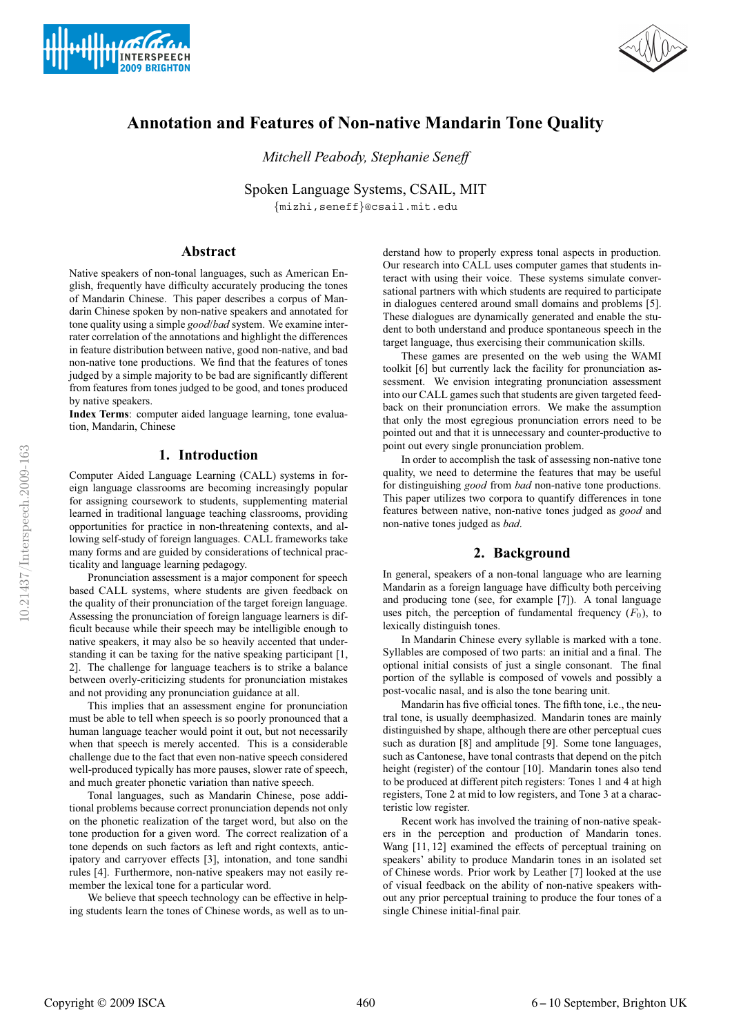



# **Annotation and Features of Non-native Mandarin Tone Quality**

*Mitchell Peabody, Stephanie Seneff*

Spoken Language Systems, CSAIL, MIT {mizhi,seneff}@csail.mit.edu

## **Abstract**

Native speakers of non-tonal languages, such as American English, frequently have difficulty accurately producing the tones of Mandarin Chinese. This paper describes a corpus of Mandarin Chinese spoken by non-native speakers and annotated for tone quality using a simple *good*/*bad* system. We examine interrater correlation of the annotations and highlight the differences in feature distribution between native, good non-native, and bad non-native tone productions. We find that the features of tones judged by a simple majority to be bad are significantly different from features from tones judged to be good, and tones produced by native speakers.

**Index Terms**: computer aided language learning, tone evaluation, Mandarin, Chinese

# **1. Introduction**

Computer Aided Language Learning (CALL) systems in foreign language classrooms are becoming increasingly popular for assigning coursework to students, supplementing material learned in traditional language teaching classrooms, providing opportunities for practice in non-threatening contexts, and allowing self-study of foreign languages. CALL frameworks take many forms and are guided by considerations of technical practicality and language learning pedagogy.

Pronunciation assessment is a major component for speech based CALL systems, where students are given feedback on the quality of their pronunciation of the target foreign language. Assessing the pronunciation of foreign language learners is difficult because while their speech may be intelligible enough to native speakers, it may also be so heavily accented that understanding it can be taxing for the native speaking participant [1, 2]. The challenge for language teachers is to strike a balance between overly-criticizing students for pronunciation mistakes and not providing any pronunciation guidance at all.

This implies that an assessment engine for pronunciation must be able to tell when speech is so poorly pronounced that a human language teacher would point it out, but not necessarily when that speech is merely accented. This is a considerable challenge due to the fact that even non-native speech considered well-produced typically has more pauses, slower rate of speech, and much greater phonetic variation than native speech.

Tonal languages, such as Mandarin Chinese, pose additional problems because correct pronunciation depends not only on the phonetic realization of the target word, but also on the tone production for a given word. The correct realization of a tone depends on such factors as left and right contexts, anticipatory and carryover effects [3], intonation, and tone sandhi rules [4]. Furthermore, non-native speakers may not easily remember the lexical tone for a particular word.

We believe that speech technology can be effective in helping students learn the tones of Chinese words, as well as to understand how to properly express tonal aspects in production. Our research into CALL uses computer games that students interact with using their voice. These systems simulate conversational partners with which students are required to participate in dialogues centered around small domains and problems [5]. These dialogues are dynamically generated and enable the student to both understand and produce spontaneous speech in the target language, thus exercising their communication skills.

These games are presented on the web using the WAMI toolkit [6] but currently lack the facility for pronunciation assessment. We envision integrating pronunciation assessment into our CALL games such that students are given targeted feedback on their pronunciation errors. We make the assumption that only the most egregious pronunciation errors need to be pointed out and that it is unnecessary and counter-productive to point out every single pronunciation problem.

In order to accomplish the task of assessing non-native tone quality, we need to determine the features that may be useful for distinguishing *good* from *bad* non-native tone productions. This paper utilizes two corpora to quantify differences in tone features between native, non-native tones judged as *good* and non-native tones judged as *bad*.

# **2. Background**

In general, speakers of a non-tonal language who are learning Mandarin as a foreign language have difficulty both perceiving and producing tone (see, for example [7]). A tonal language uses pitch, the perception of fundamental frequency  $(F_0)$ , to lexically distinguish tones.

In Mandarin Chinese every syllable is marked with a tone. Syllables are composed of two parts: an initial and a final. The optional initial consists of just a single consonant. The final portion of the syllable is composed of vowels and possibly a post-vocalic nasal, and is also the tone bearing unit.

Mandarin has five official tones. The fifth tone, i.e., the neutral tone, is usually deemphasized. Mandarin tones are mainly distinguished by shape, although there are other perceptual cues such as duration [8] and amplitude [9]. Some tone languages, such as Cantonese, have tonal contrasts that depend on the pitch height (register) of the contour [10]. Mandarin tones also tend to be produced at different pitch registers: Tones 1 and 4 at high registers, Tone 2 at mid to low registers, and Tone 3 at a characteristic low register.

Recent work has involved the training of non-native speakers in the perception and production of Mandarin tones. Wang [11, 12] examined the effects of perceptual training on speakers' ability to produce Mandarin tones in an isolated set of Chinese words. Prior work by Leather [7] looked at the use of visual feedback on the ability of non-native speakers without any prior perceptual training to produce the four tones of a single Chinese initial-final pair.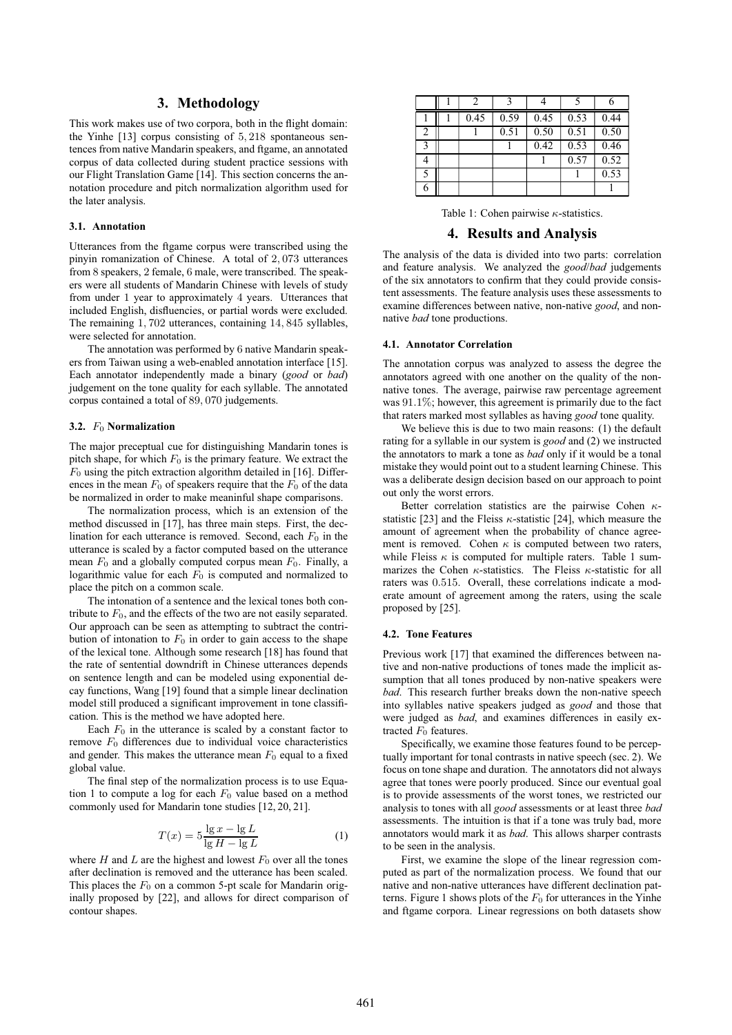### **3. Methodology**

This work makes use of two corpora, both in the flight domain: the Yinhe [13] corpus consisting of 5, 218 spontaneous sentences from native Mandarin speakers, and ftgame, an annotated corpus of data collected during student practice sessions with our Flight Translation Game [14]. This section concerns the annotation procedure and pitch normalization algorithm used for the later analysis.

#### **3.1. Annotation**

Utterances from the ftgame corpus were transcribed using the pinyin romanization of Chinese. A total of 2, 073 utterances from 8 speakers, 2 female, 6 male, were transcribed. The speakers were all students of Mandarin Chinese with levels of study from under 1 year to approximately 4 years. Utterances that included English, disfluencies, or partial words were excluded. The remaining 1, 702 utterances, containing 14, 845 syllables, were selected for annotation.

The annotation was performed by 6 native Mandarin speakers from Taiwan using a web-enabled annotation interface [15]. Each annotator independently made a binary (*good* or *bad*) judgement on the tone quality for each syllable. The annotated corpus contained a total of 89, 070 judgements.

#### **3.2.** F<sup>0</sup> **Normalization**

The major preceptual cue for distinguishing Mandarin tones is pitch shape, for which  $F_0$  is the primary feature. We extract the  $F_0$  using the pitch extraction algorithm detailed in [16]. Differences in the mean  $F_0$  of speakers require that the  $F_0$  of the data be normalized in order to make meaninful shape comparisons.

The normalization process, which is an extension of the method discussed in [17], has three main steps. First, the declination for each utterance is removed. Second, each  $F_0$  in the utterance is scaled by a factor computed based on the utterance mean  $F_0$  and a globally computed corpus mean  $F_0$ . Finally, a logarithmic value for each  $F_0$  is computed and normalized to place the pitch on a common scale.

The intonation of a sentence and the lexical tones both contribute to  $F_0$ , and the effects of the two are not easily separated. Our approach can be seen as attempting to subtract the contribution of intonation to  $F_0$  in order to gain access to the shape of the lexical tone. Although some research [18] has found that the rate of sentential downdrift in Chinese utterances depends on sentence length and can be modeled using exponential decay functions, Wang [19] found that a simple linear declination model still produced a significant improvement in tone classification. This is the method we have adopted here.

Each  $F_0$  in the utterance is scaled by a constant factor to remove  $F_0$  differences due to individual voice characteristics and gender. This makes the utterance mean  $F_0$  equal to a fixed global value.

The final step of the normalization process is to use Equation 1 to compute a log for each  $F_0$  value based on a method commonly used for Mandarin tone studies [12, 20, 21].

$$
T(x) = 5\frac{\lg x - \lg L}{\lg H - \lg L} \tag{1}
$$

where  $H$  and  $L$  are the highest and lowest  $F_0$  over all the tones after declination is removed and the utterance has been scaled. This places the  $F_0$  on a common 5-pt scale for Mandarin originally proposed by [22], and allows for direct comparison of contour shapes.

|   | 2    | 3    |      |      |      |
|---|------|------|------|------|------|
|   | 0.45 | 0.59 | 0.45 | 0.53 | 0.44 |
| 2 |      | 0.51 | 0.50 | 0.51 | 0.50 |
| 3 |      |      | 0.42 | 0.53 | 0.46 |
|   |      |      |      | 0.57 | 0.52 |
| 5 |      |      |      |      | 0.53 |
|   |      |      |      |      |      |

Table 1: Cohen pairwise  $\kappa$ -statistics.

#### **4. Results and Analysis**

The analysis of the data is divided into two parts: correlation and feature analysis. We analyzed the *good*/*bad* judgements of the six annotators to confirm that they could provide consistent assessments. The feature analysis uses these assessments to examine differences between native, non-native *good*, and nonnative *bad* tone productions.

#### **4.1. Annotator Correlation**

The annotation corpus was analyzed to assess the degree the annotators agreed with one another on the quality of the nonnative tones. The average, pairwise raw percentage agreement was 91.1%; however, this agreement is primarily due to the fact that raters marked most syllables as having *good* tone quality.

We believe this is due to two main reasons: (1) the default rating for a syllable in our system is *good* and (2) we instructed the annotators to mark a tone as *bad* only if it would be a tonal mistake they would point out to a student learning Chinese. This was a deliberate design decision based on our approach to point out only the worst errors.

Better correlation statistics are the pairwise Cohen  $\kappa$ statistic [23] and the Fleiss  $\kappa$ -statistic [24], which measure the amount of agreement when the probability of chance agreement is removed. Cohen  $\kappa$  is computed between two raters, while Fleiss  $\kappa$  is computed for multiple raters. Table 1 summarizes the Cohen  $\kappa$ -statistics. The Fleiss  $\kappa$ -statistic for all raters was 0.515. Overall, these correlations indicate a moderate amount of agreement among the raters, using the scale proposed by [25].

#### **4.2. Tone Features**

Previous work [17] that examined the differences between native and non-native productions of tones made the implicit assumption that all tones produced by non-native speakers were *bad*. This research further breaks down the non-native speech into syllables native speakers judged as *good* and those that were judged as *bad*, and examines differences in easily extracted  $F_0$  features.

Specifically, we examine those features found to be perceptually important for tonal contrasts in native speech (sec. 2). We focus on tone shape and duration. The annotators did not always agree that tones were poorly produced. Since our eventual goal is to provide assessments of the worst tones, we restricted our analysis to tones with all *good* assessments or at least three *bad* assessments. The intuition is that if a tone was truly bad, more annotators would mark it as *bad*. This allows sharper contrasts to be seen in the analysis.

First, we examine the slope of the linear regression computed as part of the normalization process. We found that our native and non-native utterances have different declination patterns. Figure 1 shows plots of the  $F_0$  for utterances in the Yinhe and ftgame corpora. Linear regressions on both datasets show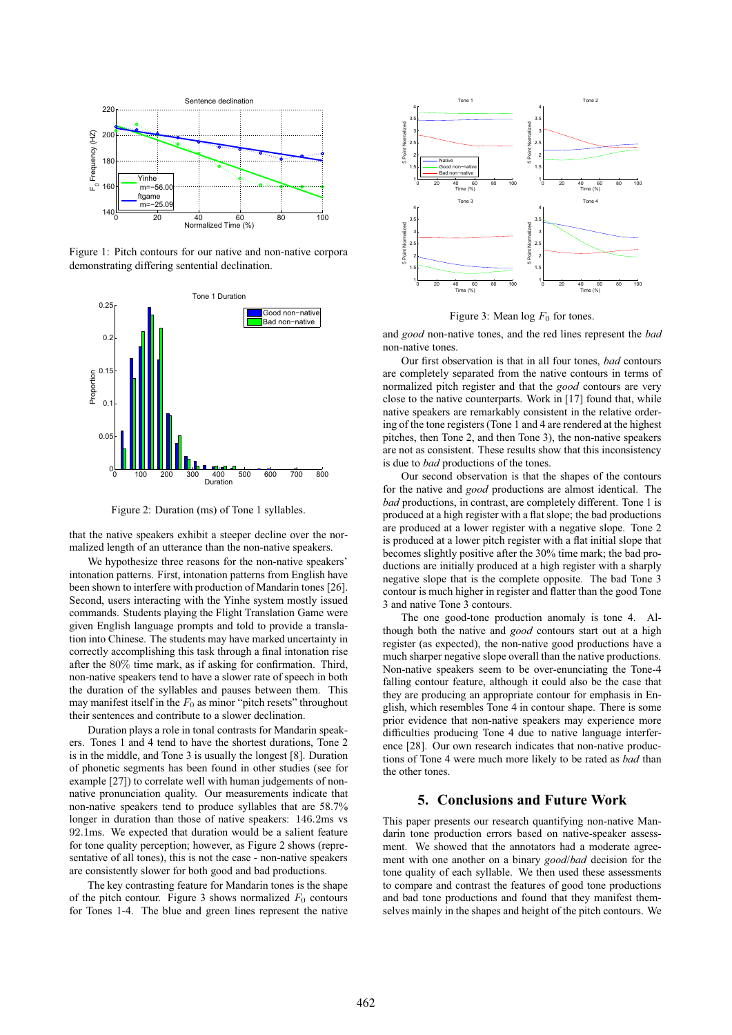

Figure 1: Pitch contours for our native and non-native corpora demonstrating differing sentential declination.



Figure 2: Duration (ms) of Tone 1 syllables.

that the native speakers exhibit a steeper decline over the normalized length of an utterance than the non-native speakers.

We hypothesize three reasons for the non-native speakers' intonation patterns. First, intonation patterns from English have been shown to interfere with production of Mandarin tones [26]. Second, users interacting with the Yinhe system mostly issued commands. Students playing the Flight Translation Game were given English language prompts and told to provide a translation into Chinese. The students may have marked uncertainty in correctly accomplishing this task through a final intonation rise after the 80% time mark, as if asking for confirmation. Third, non-native speakers tend to have a slower rate of speech in both the duration of the syllables and pauses between them. This may manifest itself in the  $F_0$  as minor "pitch resets" throughout their sentences and contribute to a slower declination.

Duration plays a role in tonal contrasts for Mandarin speakers. Tones 1 and 4 tend to have the shortest durations, Tone 2 is in the middle, and Tone 3 is usually the longest [8]. Duration of phonetic segments has been found in other studies (see for example [27]) to correlate well with human judgements of nonnative pronunciation quality. Our measurements indicate that non-native speakers tend to produce syllables that are 58.7% longer in duration than those of native speakers: 146.2ms vs 92.1ms. We expected that duration would be a salient feature for tone quality perception; however, as Figure 2 shows (representative of all tones), this is not the case - non-native speakers are consistently slower for both good and bad productions.

The key contrasting feature for Mandarin tones is the shape of the pitch contour. Figure 3 shows normalized  $F_0$  contours for Tones 1-4. The blue and green lines represent the native



Figure 3: Mean  $log F_0$  for tones.

and *good* non-native tones, and the red lines represent the *bad* non-native tones.

Our first observation is that in all four tones, *bad* contours are completely separated from the native contours in terms of normalized pitch register and that the *good* contours are very close to the native counterparts. Work in [17] found that, while native speakers are remarkably consistent in the relative ordering of the tone registers (Tone 1 and 4 are rendered at the highest pitches, then Tone 2, and then Tone 3), the non-native speakers are not as consistent. These results show that this inconsistency is due to *bad* productions of the tones.

Our second observation is that the shapes of the contours for the native and *good* productions are almost identical. The *bad* productions, in contrast, are completely different. Tone 1 is produced at a high register with a flat slope; the bad productions are produced at a lower register with a negative slope. Tone 2 is produced at a lower pitch register with a flat initial slope that becomes slightly positive after the 30% time mark; the bad productions are initially produced at a high register with a sharply negative slope that is the complete opposite. The bad Tone 3 contour is much higher in register and flatter than the good Tone 3 and native Tone 3 contours.

The one good-tone production anomaly is tone 4. Although both the native and *good* contours start out at a high register (as expected), the non-native good productions have a much sharper negative slope overall than the native productions. Non-native speakers seem to be over-enunciating the Tone-4 falling contour feature, although it could also be the case that they are producing an appropriate contour for emphasis in English, which resembles Tone 4 in contour shape. There is some prior evidence that non-native speakers may experience more difficulties producing Tone 4 due to native language interference [28]. Our own research indicates that non-native productions of Tone 4 were much more likely to be rated as *bad* than the other tones.

#### **5. Conclusions and Future Work**

This paper presents our research quantifying non-native Mandarin tone production errors based on native-speaker assessment. We showed that the annotators had a moderate agreement with one another on a binary *good*/*bad* decision for the tone quality of each syllable. We then used these assessments to compare and contrast the features of good tone productions and bad tone productions and found that they manifest themselves mainly in the shapes and height of the pitch contours. We